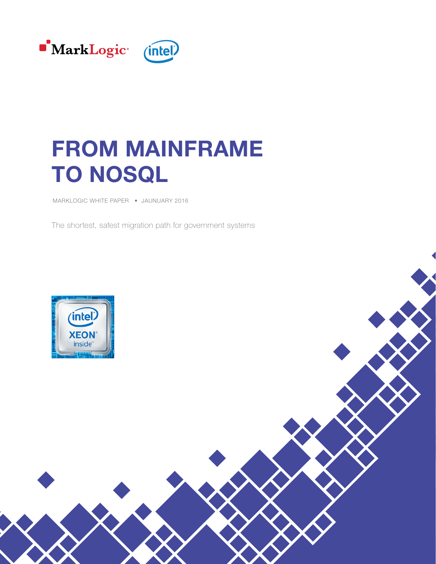

# FROM MAINFRAME TO NOSQL

MARKLOGIC WHITE PAPER • JAUNUARY 2016

The shortest, safest migration path for government systems

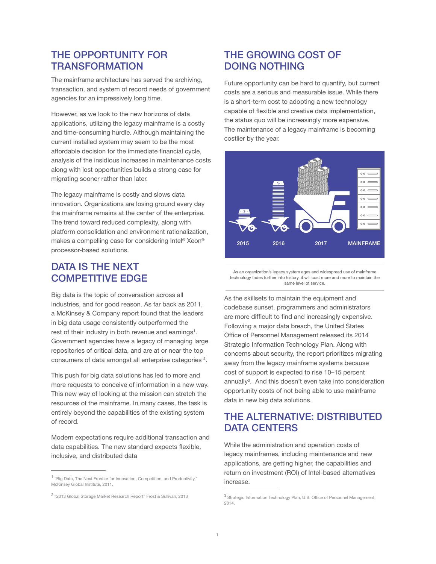## THE OPPORTUNITY FOR **TRANSFORMATION**

The mainframe architecture has served the archiving, transaction, and system of record needs of government agencies for an impressively long time.

However, as we look to the new horizons of data applications, utilizing the legacy mainframe is a costly and time-consuming hurdle. Although maintaining the current installed system may seem to be the most affordable decision for the immediate financial cycle, analysis of the insidious increases in maintenance costs along with lost opportunities builds a strong case for migrating sooner rather than later.

The legacy mainframe is costly and slows data innovation. Organizations are losing ground every day the mainframe remains at the center of the enterprise. The trend toward reduced complexity, along with platform consolidation and environment rationalization, makes a compelling case for considering Intel® Xeon® processor-based solutions.

#### DATA IS THE NEXT COMPETITIVE EDGE

Big data is the topic of conversation across all industries, and for good reason. As far back as 2011, a McKinsey & Company report found that the leaders in big data usage consistently outperformed the rest of their industry in both revenue and earnings<sup>1</sup>. Government agencies have a legacy of managing large repositories of critical data, and are at or near the top consumers of data amongst all enterprise categories<sup>2</sup>.

This push for big data solutions has led to more and more requests to conceive of information in a new way. This new way of looking at the mission can stretch the resources of the mainframe. In many cases, the task is entirely beyond the capabilities of the existing system of record.

Modern expectations require additional transaction and data capabilities. The new standard expects flexible, inclusive, and distributed data

## THE GROWING COST OF DOING NOTHING

Future opportunity can be hard to quantify, but current costs are a serious and measurable issue. While there is a short-term cost to adopting a new technology capable of flexible and creative data implementation, the status quo will be increasingly more expensive. The maintenance of a legacy mainframe is becoming costlier by the year.



As an organization's legacy system ages and widespread use of mainframe technology fades further into history, it will cost more and more to maintain the same level of service.

As the skillsets to maintain the equipment and codebase sunset, programmers and administrators are more difficult to find and increasingly expensive. Following a major data breach, the United States Office of Personnel Management released its 2014 Strategic Information Technology Plan. Along with concerns about security, the report prioritizes migrating away from the legacy mainframe systems because cost of support is expected to rise 10–15 percent annually<sup>3</sup>. And this doesn't even take into consideration opportunity costs of not being able to use mainframe data in new big data solutions.

# THE ALTERNATIVE: DISTRIBUTED DATA CENTERS

While the administration and operation costs of legacy mainframes, including maintenance and new applications, are getting higher, the capabilities and return on investment (ROI) of Intel-based alternatives increase.

<sup>&</sup>lt;sup>1</sup> "Big Data, The Next Frontier for Innovation, Competition, and Productivity," McKinsey Global Institute, 2011.

<sup>2</sup> "2013 Global Storage Market Research Report" Frost & Sullivan, 2013

<sup>3</sup> Strategic Information Technology Plan, U.S. Office of Personnel Management, 2014.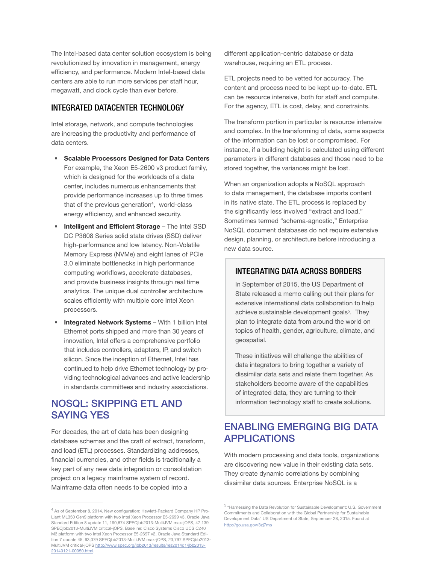The Intel-based data center solution ecosystem is being revolutionized by innovation in management, energy efficiency, and performance. Modern Intel-based data centers are able to run more services per staff hour, megawatt, and clock cycle than ever before.

#### INTEGRATED DATACENTER TECHNOLOGY

Intel storage, network, and compute technologies are increasing the productivity and performance of data centers.

- Scalable Processors Designed for Data Centers For example, the Xeon E5-2600 v3 product family, which is designed for the workloads of a data center, includes numerous enhancements that provide performance increases up to three times that of the previous generation<sup>4</sup>, world-class energy efficiency, and enhanced security.
- Intelligent and Efficient Storage The Intel SSD DC P3608 Series solid state drives (SSD) deliver high-performance and low latency. Non-Volatile Memory Express (NVMe) and eight lanes of PCIe 3.0 eliminate bottlenecks in high performance computing workflows, accelerate databases, and provide business insights through real time analytics. The unique dual controller architecture scales efficiently with multiple core Intel Xeon processors.
- Integrated Network Systems With 1 billion Intel Ethernet ports shipped and more than 30 years of innovation, Intel offers a comprehensive portfolio that includes controllers, adapters, IP, and switch silicon. Since the inception of Ethernet, Intel has continued to help drive Ethernet technology by providing technological advances and active leadership in standards committees and industry associations.

## NOSQL: SKIPPING ETL AND SAYING YES

For decades, the art of data has been designing database schemas and the craft of extract, transform, and load (ETL) processes. Standardizing addresses, financial currencies, and other fields is traditionally a key part of any new data integration or consolidation project on a legacy mainframe system of record. Mainframe data often needs to be copied into a

different application-centric database or data warehouse, requiring an ETL process.

ETL projects need to be vetted for accuracy. The content and process need to be kept up-to-date. ETL can be resource intensive, both for staff and compute. For the agency, ETL is cost, delay, and constraints.

The transform portion in particular is resource intensive and complex. In the transforming of data, some aspects of the information can be lost or compromised. For instance, if a building height is calculated using different parameters in different databases and those need to be stored together, the variances might be lost.

When an organization adopts a NoSQL approach to data management, the database imports content in its native state. The ETL process is replaced by the significantly less involved "extract and load." Sometimes termed "schema-agnostic," Enterprise NoSQL document databases do not require extensive design, planning, or architecture before introducing a new data source.

#### INTEGRATING DATA ACROSS BORDERS

In September of 2015, the US Department of State released a memo calling out their plans for extensive international data collaboration to help achieve sustainable development goals<sup>5</sup>. They plan to integrate data from around the world on topics of health, gender, agriculture, climate, and geospatial.

These initiatives will challenge the abilities of data integrators to bring together a variety of dissimilar data sets and relate them together. As stakeholders become aware of the capabilities of integrated data, they are turning to their information technology staff to create solutions.

## ENABLING EMERGING BIG DATA APPLICATIONS

With modern processing and data tools, organizations are discovering new value in their existing data sets. They create dynamic correlations by combining dissimilar data sources. Enterprise NoSQL is a

<sup>&</sup>lt;sup>4</sup> As of September 8, 2014. New configuration: Hewlett-Packard Company HP Pro-Liant ML350 Gen9 platform with two Intel Xeon Processor E5-2699 v3, Oracle Java Standard Edition 8 update 11, 190,674 SPECjbb2013-MultiJVM max-jOPS, 47,139 SPECjbb2013-MultiJVM critical-jOPS. Baseline: Cisco Systems Cisco UCS C240 M3 platform with two Intel Xeon Processor E5-2697 v2, Oracle Java Standard Edition 7 update 45, 63,079 SPECjbb2013-MultiJVM max-jOPS, 23,797 SPECjbb2013- MultiJVM critical-jOPS [http://www.spec.org/jbb2013/results/res2014q1/jbb2013-](http://www.spec.org/jbb2013/results/res2014q1/jbb2013-20140121-00050.html) [20140121-00050.html](http://www.spec.org/jbb2013/results/res2014q1/jbb2013-20140121-00050.html).

<sup>5 &</sup>quot;Harnessing the Data Revolution for Sustainable Development: U.S. Government Commitments and Collaboration with the Global Partnership for Sustainable Development Data" US Department of State, September 28, 2015. Found at [http://go.usa.gov/3zj7ms](http://go.usa.gov/3zj7ms
)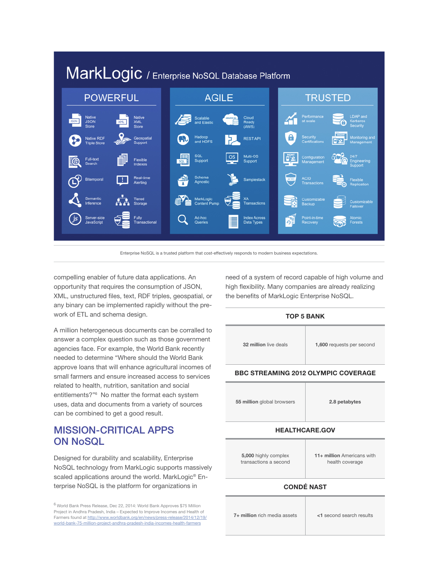

Enterprise NoSQL is a trusted platform that cost-effectively responds to modern business expectations.

compelling enabler of future data applications. An opportunity that requires the consumption of JSON, XML, unstructured files, text, RDF triples, geospatial, or any binary can be implemented rapidly without the prework of ETL and schema design.

A million heterogeneous documents can be corralled to answer a complex question such as those government agencies face. For example, the World Bank recently needed to determine "Where should the World Bank approve loans that will enhance agricultural incomes of small farmers and ensure increased access to services related to health, nutrition, sanitation and social entitlements?"6 No matter the format each system uses, data and documents from a variety of sources can be combined to get a good result.

## MISSION-CRITICAL APPS ON NoSQL

Designed for durability and scalability, Enterprise NoSQL technology from MarkLogic supports massively scaled applications around the world. MarkLogic<sup>®</sup> Enterprise NoSQL is the platform for organizations in

 $^6$  World Bank Press Release, Dec 22, 2014: World Bank Approves \$75 Million Project in Andhra Pradesh, India – Expected to Improve Incomes and Health of Farmers found at [http://www.worldbank.org/en/news/press-release/2014/12/19/](http://www.worldbank.org/en/news/press-release/2014/12/19/world-bank-75-million-project-andhra-pradesh-india-incomes-health-farmers) [world-bank-75-million-project-andhra-pradesh-india-incomes-health-farmers](http://www.worldbank.org/en/news/press-release/2014/12/19/world-bank-75-million-project-andhra-pradesh-india-incomes-health-farmers)

need of a system of record capable of high volume and high flexibility. Many companies are already realizing the benefits of MarkLogic Enterprise NoSQL.



**7+ million** rich media assets  $\vert$  <1 second search results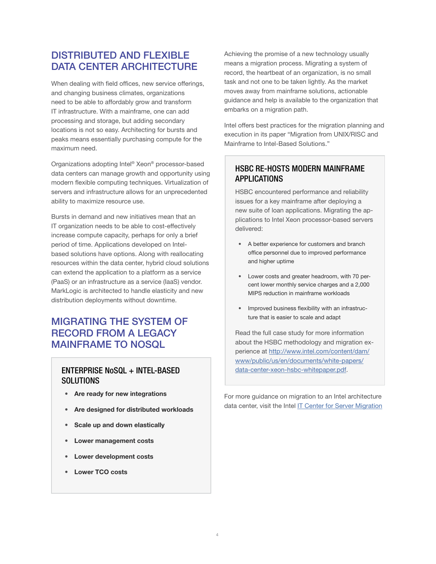# DISTRIBUTED AND FLEXIBLE DATA CENTER ARCHITECTURE

When dealing with field offices, new service offerings, and changing business climates, organizations need to be able to affordably grow and transform IT infrastructure. With a mainframe, one can add processing and storage, but adding secondary locations is not so easy. Architecting for bursts and peaks means essentially purchasing compute for the maximum need.

Organizations adopting Intel® Xeon® processor-based data centers can manage growth and opportunity using modern flexible computing techniques. Virtualization of servers and infrastructure allows for an unprecedented ability to maximize resource use.

Bursts in demand and new initiatives mean that an IT organization needs to be able to cost-effectively increase compute capacity, perhaps for only a brief period of time. Applications developed on Intelbased solutions have options. Along with reallocating resources within the data center, hybrid cloud solutions can extend the application to a platform as a service (PaaS) or an infrastructure as a service (IaaS) vendor. MarkLogic is architected to handle elasticity and new distribution deployments without downtime.

# MIGRATING THE SYSTEM OF RECORD FROM A LEGACY MAINFRAME TO NOSQL

#### ENTERPRISE NoSQL + INTEL-BASED **SOLUTIONS**

- Are ready for new integrations
- Are designed for distributed workloads
- Scale up and down elastically
- Lower management costs
- Lower development costs
- Lower TCO costs

Achieving the promise of a new technology usually means a migration process. Migrating a system of record, the heartbeat of an organization, is no small task and not one to be taken lightly. As the market moves away from mainframe solutions, actionable guidance and help is available to the organization that embarks on a migration path.

Intel offers best practices for the migration planning and execution in its paper "Migration from UNIX/RISC and Mainframe to Intel-Based Solutions."

#### HSBC RE-HOSTS MODERN MAINFRAME APPLICATIONS

HSBC encountered performance and reliability issues for a key mainframe after deploying a new suite of loan applications. Migrating the applications to Intel Xeon processor-based servers delivered:

- A better experience for customers and branch office personnel due to improved performance and higher uptime
- Lower costs and greater headroom, with 70 percent lower monthly service charges and a 2,000 MIPS reduction in mainframe workloads
- Improved business flexibility with an infrastructure that is easier to scale and adapt

Read the full case study for more information about the HSBC methodology and migration experience at [http://www.intel.com/content/dam/](http://www.intel.com/content/dam/www/public/us/en/documents/white-papers/data-center-xeon-hsbc-whitepaper.pdf) [www/public/us/en/documents/white-papers/](http://www.intel.com/content/dam/www/public/us/en/documents/white-papers/data-center-xeon-hsbc-whitepaper.pdf) [data-center-xeon-hsbc-whitepaper.pdf](http://www.intel.com/content/dam/www/public/us/en/documents/white-papers/data-center-xeon-hsbc-whitepaper.pdf).

For more guidance on migration to an Intel architecture data center, visit the Intel [IT Center for Server Migration](http://www.intel.com/content/www/us/en/mission-critical/mission-critical-meeting-todays-it-challenges.html)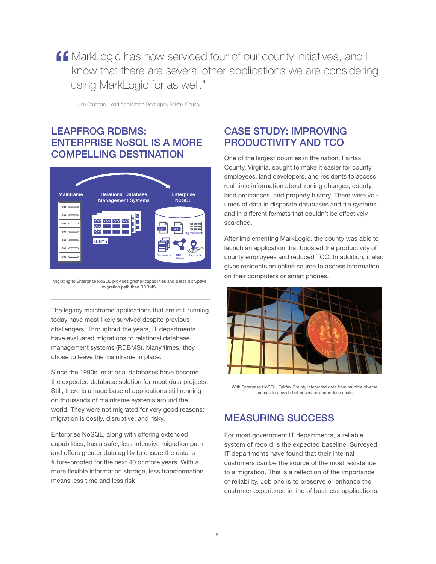**ff** MarkLogic has now serviced four of our county initiatives, and I know that there are several other applications we are considering using MarkLogic for as well."

— Jim Callahan, Lead Application Developer, Fairfax County

# LEAPFROG RDBMS: ENTERPRISE NoSQL IS A MORE COMPELLING DESTINATION



Migrating to Enterprise NoSQL provides greater capabilities and a less disruptive migration path than RDBMS.

The legacy mainframe applications that are still running today have most likely survived despite previous challengers. Throughout the years, IT departments have evaluated migrations to relational database management systems (RDBMS). Many times, they chose to leave the mainframe in place.

Since the 1990s, relational databases have become the expected database solution for most data projects. Still, there is a huge base of applications still running on thousands of mainframe systems around the world. They were not migrated for very good reasons: migration is costly, disruptive, and risky.

Enterprise NoSQL, along with offering extended capabilities, has a safer, less intensive migration path and offers greater data agility to ensure the data is future-proofed for the next 40 or more years. With a more flexible information storage, less transformation means less time and less risk

## CASE STUDY: IMPROVING PRODUCTIVITY AND TCO

One of the largest counties in the nation, Fairfax County, Virginia, sought to make it easier for county employees, land developers, and residents to access real-time information about zoning changes, county land ordinances, and property history. There were volumes of data in disparate databases and file systems and in different formats that couldn't be effectively searched.

After implementing MarkLogic, the county was able to launch an application that boosted the productivity of county employees and reduced TCO. In addition, it also gives residents an online source to access information on their computers or smart phones.



With Enterprise NoSQL, Fairfax County integrated data from multiple diverse sources to provide better service and reduce costs.

# MEASURING SUCCESS

For most government IT departments, a reliable system of record is the expected baseline. Surveyed IT departments have found that their internal customers can be the source of the most resistance to a migration. This is a reflection of the importance of reliability. Job one is to preserve or enhance the customer experience in line of business applications.